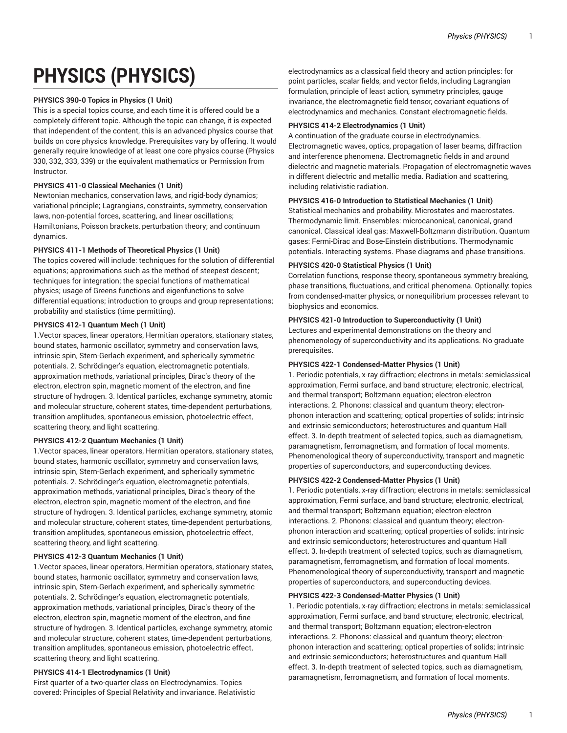# **PHYSICS (PHYSICS)**

## **PHYSICS 390-0 Topics in Physics (1 Unit)**

This is a special topics course, and each time it is offered could be a completely different topic. Although the topic can change, it is expected that independent of the content, this is an advanced physics course that builds on core physics knowledge. Prerequisites vary by offering. It would generally require knowledge of at least one core physics course (Physics 330, 332, 333, 339) or the equivalent mathematics or Permission from Instructor.

## **PHYSICS 411-0 Classical Mechanics (1 Unit)**

Newtonian mechanics, conservation laws, and rigid-body dynamics; variational principle; Lagrangians, constraints, symmetry, conservation laws, non-potential forces, scattering, and linear oscillations; Hamiltonians, Poisson brackets, perturbation theory; and continuum dynamics.

## **PHYSICS 411-1 Methods of Theoretical Physics (1 Unit)**

The topics covered will include: techniques for the solution of differential equations; approximations such as the method of steepest descent; techniques for integration; the special functions of mathematical physics; usage of Greens functions and eigenfunctions to solve differential equations; introduction to groups and group representations; probability and statistics (time permitting).

# **PHYSICS 412-1 Quantum Mech (1 Unit)**

1.Vector spaces, linear operators, Hermitian operators, stationary states, bound states, harmonic oscillator, symmetry and conservation laws, intrinsic spin, Stern-Gerlach experiment, and spherically symmetric potentials. 2. Schrödinger's equation, electromagnetic potentials, approximation methods, variational principles, Dirac's theory of the electron, electron spin, magnetic moment of the electron, and fine structure of hydrogen. 3. Identical particles, exchange symmetry, atomic and molecular structure, coherent states, time-dependent perturbations, transition amplitudes, spontaneous emission, photoelectric effect, scattering theory, and light scattering.

# **PHYSICS 412-2 Quantum Mechanics (1 Unit)**

1.Vector spaces, linear operators, Hermitian operators, stationary states, bound states, harmonic oscillator, symmetry and conservation laws, intrinsic spin, Stern-Gerlach experiment, and spherically symmetric potentials. 2. Schrödinger's equation, electromagnetic potentials, approximation methods, variational principles, Dirac's theory of the electron, electron spin, magnetic moment of the electron, and fine structure of hydrogen. 3. Identical particles, exchange symmetry, atomic and molecular structure, coherent states, time-dependent perturbations, transition amplitudes, spontaneous emission, photoelectric effect, scattering theory, and light scattering.

# **PHYSICS 412-3 Quantum Mechanics (1 Unit)**

1.Vector spaces, linear operators, Hermitian operators, stationary states, bound states, harmonic oscillator, symmetry and conservation laws, intrinsic spin, Stern-Gerlach experiment, and spherically symmetric potentials. 2. Schrödinger's equation, electromagnetic potentials, approximation methods, variational principles, Dirac's theory of the electron, electron spin, magnetic moment of the electron, and fine structure of hydrogen. 3. Identical particles, exchange symmetry, atomic and molecular structure, coherent states, time-dependent perturbations, transition amplitudes, spontaneous emission, photoelectric effect, scattering theory, and light scattering.

# **PHYSICS 414-1 Electrodynamics (1 Unit)**

First quarter of a two-quarter class on Electrodynamics. Topics covered: Principles of Special Relativity and invariance. Relativistic

electrodynamics as a classical field theory and action principles: for point particles, scalar fields, and vector fields, including Lagrangian formulation, principle of least action, symmetry principles, gauge invariance, the electromagnetic field tensor, covariant equations of electrodynamics and mechanics. Constant electromagnetic fields.

## **PHYSICS 414-2 Electrodynamics (1 Unit)**

A continuation of the graduate course in electrodynamics. Electromagnetic waves, optics, propagation of laser beams, diffraction and interference phenomena. Electromagnetic fields in and around dielectric and magnetic materials. Propagation of electromagnetic waves in different dielectric and metallic media. Radiation and scattering, including relativistic radiation.

## **PHYSICS 416-0 Introduction to Statistical Mechanics (1 Unit)**

Statistical mechanics and probability. Microstates and macrostates. Thermodynamic limit. Ensembles: microcanonical, canonical, grand canonical. Classical ideal gas: Maxwell-Boltzmann distribution. Quantum gases: Fermi-Dirac and Bose-Einstein distributions. Thermodynamic potentials. Interacting systems. Phase diagrams and phase transitions.

## **PHYSICS 420-0 Statistical Physics (1 Unit)**

Correlation functions, response theory, spontaneous symmetry breaking, phase transitions, fluctuations, and critical phenomena. Optionally: topics from condensed-matter physics, or nonequilibrium processes relevant to biophysics and economics.

## **PHYSICS 421-0 Introduction to Superconductivity (1 Unit)**

Lectures and experimental demonstrations on the theory and phenomenology of superconductivity and its applications. No graduate prerequisites.

## **PHYSICS 422-1 Condensed-Matter Physics (1 Unit)**

1. Periodic potentials, x-ray diffraction; electrons in metals: semiclassical approximation, Fermi surface, and band structure; electronic, electrical, and thermal transport; Boltzmann equation; electron-electron interactions. 2. Phonons: classical and quantum theory; electronphonon interaction and scattering; optical properties of solids; intrinsic and extrinsic semiconductors; heterostructures and quantum Hall effect. 3. In-depth treatment of selected topics, such as diamagnetism, paramagnetism, ferromagnetism, and formation of local moments. Phenomenological theory of superconductivity, transport and magnetic properties of superconductors, and superconducting devices.

#### **PHYSICS 422-2 Condensed-Matter Physics (1 Unit)**

1. Periodic potentials, x-ray diffraction; electrons in metals: semiclassical approximation, Fermi surface, and band structure; electronic, electrical, and thermal transport; Boltzmann equation; electron-electron interactions. 2. Phonons: classical and quantum theory; electronphonon interaction and scattering; optical properties of solids; intrinsic and extrinsic semiconductors; heterostructures and quantum Hall effect. 3. In-depth treatment of selected topics, such as diamagnetism, paramagnetism, ferromagnetism, and formation of local moments. Phenomenological theory of superconductivity, transport and magnetic properties of superconductors, and superconducting devices.

#### **PHYSICS 422-3 Condensed-Matter Physics (1 Unit)**

1. Periodic potentials, x-ray diffraction; electrons in metals: semiclassical approximation, Fermi surface, and band structure; electronic, electrical, and thermal transport; Boltzmann equation; electron-electron interactions. 2. Phonons: classical and quantum theory; electronphonon interaction and scattering; optical properties of solids; intrinsic and extrinsic semiconductors; heterostructures and quantum Hall effect. 3. In-depth treatment of selected topics, such as diamagnetism, paramagnetism, ferromagnetism, and formation of local moments.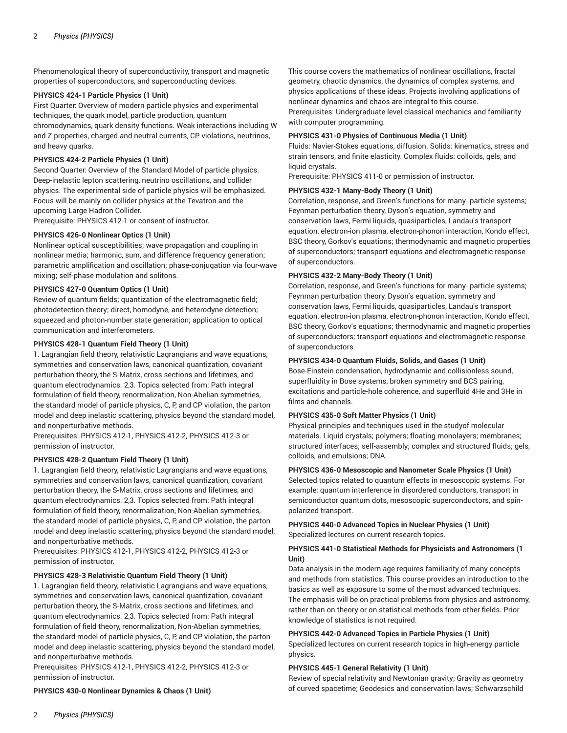Phenomenological theory of superconductivity, transport and magnetic properties of superconductors, and superconducting devices.

### **PHYSICS 424-1 Particle Physics (1 Unit)**

First Quarter: Overview of modern particle physics and experimental techniques, the quark model, particle production, quantum chromodynamics, quark density functions. Weak interactions including W and Z properties, charged and neutral currents, CP violations, neutrinos, and heavy quarks.

## **PHYSICS 424-2 Particle Physics (1 Unit)**

Second Quarter: Overview of the Standard Model of particle physics. Deep-inelastic lepton scattering, neutrino oscillations, and collider physics. The experimental side of particle physics will be emphasized. Focus will be mainly on collider physics at the Tevatron and the upcoming Large Hadron Collider.

Prerequisite: PHYSICS 412-1 or consent of instructor.

## **PHYSICS 426-0 Nonlinear Optics (1 Unit)**

Nonlinear optical susceptibilities; wave propagation and coupling in nonlinear media; harmonic, sum, and difference frequency generation; parametric amplification and oscillation; phase-conjugation via four-wave mixing; self-phase modulation and solitons.

## **PHYSICS 427-0 Quantum Optics (1 Unit)**

Review of quantum fields; quantization of the electromagnetic field; photodetection theory; direct, homodyne, and heterodyne detection; squeezed and photon-number state generation; application to optical communication and interferometers.

#### **PHYSICS 428-1 Quantum Field Theory (1 Unit)**

1. Lagrangian field theory, relativistic Lagrangians and wave equations, symmetries and conservation laws, canonical quantization, covariant perturbation theory, the S-Matrix, cross sections and lifetimes, and quantum electrodynamics. 2,3. Topics selected from: Path integral formulation of field theory, renormalization, Non-Abelian symmetries, the standard model of particle physics, C, P, and CP violation, the parton model and deep inelastic scattering, physics beyond the standard model, and nonperturbative methods.

Prerequisites: PHYSICS 412-1, PHYSICS 412-2, PHYSICS 412-3 or permission of instructor.

#### **PHYSICS 428-2 Quantum Field Theory (1 Unit)**

1. Lagrangian field theory, relativistic Lagrangians and wave equations, symmetries and conservation laws, canonical quantization, covariant perturbation theory, the S-Matrix, cross sections and lifetimes, and quantum electrodynamics. 2,3. Topics selected from: Path integral formulation of field theory, renormalization, Non-Abelian symmetries, the standard model of particle physics, C, P, and CP violation, the parton model and deep inelastic scattering, physics beyond the standard model, and nonperturbative methods.

Prerequisites: PHYSICS 412-1, PHYSICS 412-2, PHYSICS 412-3 or permission of instructor.

#### **PHYSICS 428-3 Relativistic Quantum Field Theory (1 Unit)**

1. Lagrangian field theory, relativistic Lagrangians and wave equations, symmetries and conservation laws, canonical quantization, covariant perturbation theory, the S-Matrix, cross sections and lifetimes, and quantum electrodynamics. 2,3. Topics selected from: Path integral formulation of field theory, renormalization, Non-Abelian symmetries, the standard model of particle physics, C, P, and CP violation, the parton model and deep inelastic scattering, physics beyond the standard model, and nonperturbative methods.

Prerequisites: PHYSICS 412-1, PHYSICS 412-2, PHYSICS 412-3 or permission of instructor.

## **PHYSICS 430-0 Nonlinear Dynamics & Chaos (1 Unit)**

This course covers the mathematics of nonlinear oscillations, fractal geometry, chaotic dynamics, the dynamics of complex systems, and physics applications of these ideas. Projects involving applications of nonlinear dynamics and chaos are integral to this course. Prerequisites: Undergraduate level classical mechanics and familiarity with computer programming.

#### **PHYSICS 431-0 Physics of Continuous Media (1 Unit)**

Fluids: Navier-Stokes equations, diffusion. Solids: kinematics, stress and strain tensors, and finite elasticity. Complex fluids: colloids, gels, and liquid crystals.

Prerequisite: PHYSICS 411-0 or permission of instructor.

#### **PHYSICS 432-1 Many-Body Theory (1 Unit)**

Correlation, response, and Green's functions for many- particle systems; Feynman perturbation theory, Dyson's equation, symmetry and conservation laws, Fermi liquids, quasiparticles, Landau's transport equation, electron-ion plasma, electron-phonon interaction, Kondo effect, BSC theory, Gorkov's equations; thermodynamic and magnetic properties of superconductors; transport equations and electromagnetic response of superconductors.

#### **PHYSICS 432-2 Many-Body Theory (1 Unit)**

Correlation, response, and Green's functions for many- particle systems; Feynman perturbation theory, Dyson's equation, symmetry and conservation laws, Fermi liquids, quasiparticles, Landau's transport equation, electron-ion plasma, electron-phonon interaction, Kondo effect, BSC theory, Gorkov's equations; thermodynamic and magnetic properties of superconductors; transport equations and electromagnetic response of superconductors.

## **PHYSICS 434-0 Quantum Fluids, Solids, and Gases (1 Unit)**

Bose-Einstein condensation, hydrodynamic and collisionless sound, superfluidity in Bose systems, broken symmetry and BCS pairing, excitations and particle-hole coherence, and superfluid 4He and 3He in films and channels.

#### **PHYSICS 435-0 Soft Matter Physics (1 Unit)**

Physical principles and techniques used in the studyof molecular materials. Liquid crystals; polymers; floating monolayers; membranes; structured interfaces; self-assembly; complex and structured fluids; gels, colloids, and emulsions; DNA.

#### **PHYSICS 436-0 Mesoscopic and Nanometer Scale Physics (1 Unit)**

Selected topics related to quantum effects in mesoscopic systems. For example: quantum interference in disordered conductors, transport in semiconductor quantum dots, mesoscopic superconductors, and spinpolarized transport.

## **PHYSICS 440-0 Advanced Topics in Nuclear Physics (1 Unit)** Specialized lectures on current research topics.

## **PHYSICS 441-0 Statistical Methods for Physicists and Astronomers (1 Unit)**

Data analysis in the modern age requires familiarity of many concepts and methods from statistics. This course provides an introduction to the basics as well as exposure to some of the most advanced techniques. The emphasis will be on practical problems from physics and astronomy, rather than on theory or on statistical methods from other fields. Prior knowledge of statistics is not required.

# **PHYSICS 442-0 Advanced Topics in Particle Physics (1 Unit)**

Specialized lectures on current research topics in high-energy particle physics.

#### **PHYSICS 445-1 General Relativity (1 Unit)**

Review of special relativity and Newtonian gravity; Gravity as geometry of curved spacetime; Geodesics and conservation laws; Schwarzschild